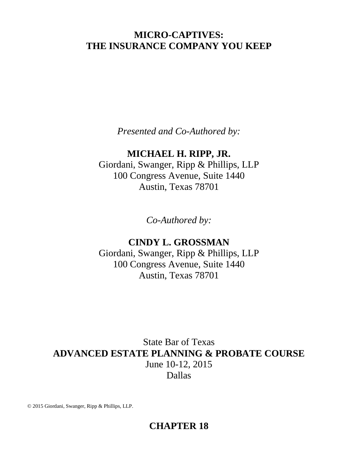# **MICRO-CAPTIVES: THE INSURANCE COMPANY YOU KEEP**

*Presented and Co-Authored by:*

# **MICHAEL H. RIPP, JR.**

Giordani, Swanger, Ripp & Phillips, LLP 100 Congress Avenue, Suite 1440 Austin, Texas 78701

*Co-Authored by:*

# **CINDY L. GROSSMAN**

Giordani, Swanger, Ripp & Phillips, LLP 100 Congress Avenue, Suite 1440 Austin, Texas 78701

State Bar of Texas **ADVANCED ESTATE PLANNING & PROBATE COURSE** June 10-12, 2015 Dallas

© 2015 Giordani, Swanger, Ripp & Phillips, LLP.

# **CHAPTER 18**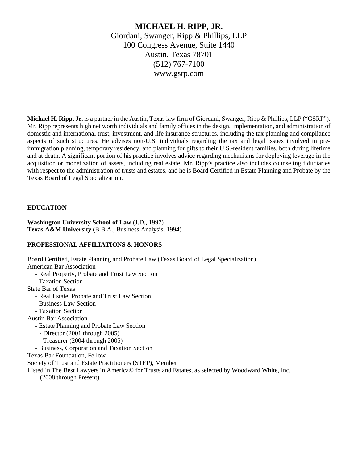# **MICHAEL H. RIPP, JR.** Giordani, Swanger, Ripp & Phillips, LLP 100 Congress Avenue, Suite 1440 Austin, Texas 78701 (512) 767-7100 www.gsrp.com

**Michael H. Ripp, Jr.** is a partner in the Austin, Texas law firm of Giordani, Swanger, Ripp & Phillips, LLP ("GSRP"). Mr. Ripp represents high net worth individuals and family offices in the design, implementation, and administration of domestic and international trust, investment, and life insurance structures, including the tax planning and compliance aspects of such structures. He advises non-U.S. individuals regarding the tax and legal issues involved in preimmigration planning, temporary residency, and planning for gifts to their U.S.-resident families, both during lifetime and at death. A significant portion of his practice involves advice regarding mechanisms for deploying leverage in the acquisition or monetization of assets, including real estate. Mr. Ripp's practice also includes counseling fiduciaries with respect to the administration of trusts and estates, and he is Board Certified in Estate Planning and Probate by the Texas Board of Legal Specialization.

# **EDUCATION**

**Washington University School of Law** (J.D., 1997) **Texas A&M University** (B.B.A., Business Analysis, 1994)

# **PROFESSIONAL AFFILIATIONS & HONORS**

Board Certified, Estate Planning and Probate Law (Texas Board of Legal Specialization) American Bar Association

- Real Property, Probate and Trust Law Section
- Taxation Section
- State Bar of Texas
	- Real Estate, Probate and Trust Law Section
	- Business Law Section
	- Taxation Section
- Austin Bar Association
	- Estate Planning and Probate Law Section
		- Director (2001 through 2005)
		- Treasurer (2004 through 2005)
	- Business, Corporation and Taxation Section
- Texas Bar Foundation, Fellow
- Society of Trust and Estate Practitioners (STEP), Member
- Listed in The Best Lawyers in America© for Trusts and Estates, as selected by Woodward White, Inc.
	- (2008 through Present)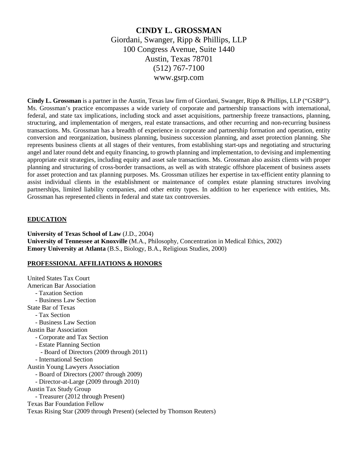# **CINDY L. GROSSMAN** Giordani, Swanger, Ripp & Phillips, LLP 100 Congress Avenue, Suite 1440 Austin, Texas 78701 (512) 767-7100 www.gsrp.com

**Cindy L. Grossman** is a partner in the Austin, Texas law firm of Giordani, Swanger, Ripp & Phillips, LLP ("GSRP"). Ms. Grossman's practice encompasses a wide variety of corporate and partnership transactions with international, federal, and state tax implications, including stock and asset acquisitions, partnership freeze transactions, planning, structuring, and implementation of mergers, real estate transactions, and other recurring and non-recurring business transactions. Ms. Grossman has a breadth of experience in corporate and partnership formation and operation, entity conversion and reorganization, business planning, business succession planning, and asset protection planning. She represents business clients at all stages of their ventures, from establishing start-ups and negotiating and structuring angel and later round debt and equity financing, to growth planning and implementation, to devising and implementing appropriate exit strategies, including equity and asset sale transactions. Ms. Grossman also assists clients with proper planning and structuring of cross-border transactions, as well as with strategic offshore placement of business assets for asset protection and tax planning purposes. Ms. Grossman utilizes her expertise in tax-efficient entity planning to assist individual clients in the establishment or maintenance of complex estate planning structures involving partnerships, limited liability companies, and other entity types. In addition to her experience with entities, Ms. Grossman has represented clients in federal and state tax controversies.

# **EDUCATION**

**University of Texas School of Law** (J.D., 2004) **University of Tennessee at Knoxville** (M.A., Philosophy, Concentration in Medical Ethics, 2002) **Emory University at Atlanta** (B.S., Biology, B.A., Religious Studies, 2000)

# **PROFESSIONAL AFFILIATIONS & HONORS**

United States Tax Court American Bar Association - Taxation Section - Business Law Section State Bar of Texas - Tax Section - Business Law Section Austin Bar Association - Corporate and Tax Section - Estate Planning Section - Board of Directors (2009 through 2011) - International Section Austin Young Lawyers Association - Board of Directors (2007 through 2009) - Director-at-Large (2009 through 2010) Austin Tax Study Group - Treasurer (2012 through Present) Texas Bar Foundation Fellow Texas Rising Star (2009 through Present) (selected by Thomson Reuters)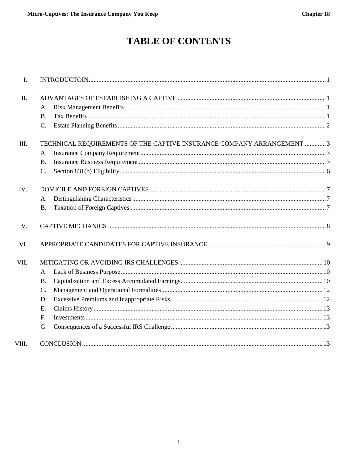# **TABLE OF CONTENTS**

| $\mathbf{I}$ . |                                                                        |  |  |
|----------------|------------------------------------------------------------------------|--|--|
| II.            |                                                                        |  |  |
|                | Α.                                                                     |  |  |
|                | $\mathbf{B}$ .                                                         |  |  |
|                | $C_{\cdot}$                                                            |  |  |
| Ш.             | TECHNICAL REQUIREMENTS OF THE CAPTIVE INSURANCE COMPANY ARRANGEMENT  3 |  |  |
|                | Α.                                                                     |  |  |
|                | <b>B.</b>                                                              |  |  |
|                | C.                                                                     |  |  |
| IV.            |                                                                        |  |  |
|                | A.                                                                     |  |  |
|                | <b>B.</b>                                                              |  |  |
| V.             |                                                                        |  |  |
| VI.            |                                                                        |  |  |
| VII.           |                                                                        |  |  |
|                | A.                                                                     |  |  |
|                | <b>B.</b>                                                              |  |  |
|                | $\mathcal{C}$ .                                                        |  |  |
|                | D.                                                                     |  |  |
|                | E.                                                                     |  |  |
|                | F.                                                                     |  |  |
|                | G.                                                                     |  |  |
| VIII.          |                                                                        |  |  |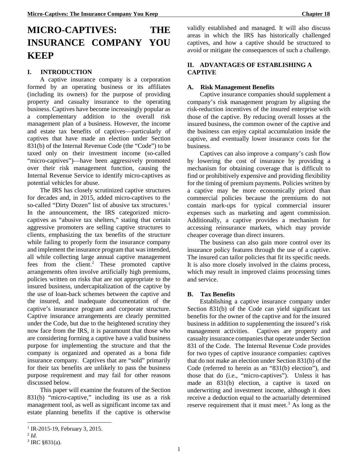# **MICRO-CAPTIVES: THE INSURANCE COMPANY YOU KEEP**

# **I. INTRODUCTION**

A captive insurance company is a corporation formed by an operating business or its affiliates (including its owners) for the purpose of providing property and casualty insurance to the operating business. Captives have become increasingly popular as a complementary addition to the overall risk management plan of a business. However, the income and estate tax benefits of captives—particularly of captives that have made an election under Section 831(b) of the Internal Revenue Code (the "Code") to be taxed only on their investment income (so-called "micro-captives")—have been aggressively promoted over their risk management function, causing the Internal Revenue Service to identify micro-captives as potential vehicles for abuse.

The IRS has closely scrutinized captive structures for decades and, in 2015, added micro-captives to the so-called "Dirty Dozen" list of abusive tax structures. [1](#page-4-0) In the announcement, the IRS categorized microcaptives as "abusive tax shelters," stating that certain aggressive promoters are selling captive structures to clients, emphasizing the tax benefits of the structure while failing to properly form the insurance company and implement the insurance program that was intended, all while collecting large annual captive management fees from the client[.2](#page-4-1) These promoted captive arrangements often involve artificially high premiums, policies written on risks that are not appropriate to the insured business, undercapitalization of the captive by the use of loan-back schemes between the captive and the insured, and inadequate documentation of the captive's insurance program and corporate structure. Captive insurance arrangements are clearly permitted under the Code, but due to the heightened scrutiny they now face from the IRS, it is paramount that those who are considering forming a captive have a valid business purpose for implementing the structure and that the company is organized and operated as a bona fide insurance company. Captives that are "sold" primarily for their tax benefits are unlikely to pass the business purpose requirement and may fail for other reasons discussed below.

This paper will examine the features of the Section 831(b) "micro-captive," including its use as a risk management tool, as well as significant income tax and estate planning benefits if the captive is otherwise

 $\overline{a}$ 

validly established and managed. It will also discuss areas in which the IRS has historically challenged captives, and how a captive should be structured to avoid or mitigate the consequences of such a challenge.

# **II. ADVANTAGES OF ESTABLISHING A CAPTIVE**

# **A. Risk Management Benefits**

Captive insurance companies should supplement a company's risk management program by aligning the risk-reduction incentives of the insured enterprise with those of the captive. By reducing overall losses at the insured business, the common owner of the captive and the business can enjoy capital accumulation inside the captive, and eventually lower insurance costs for the business.

Captives can also improve a company's cash flow by lowering the cost of insurance by providing a mechanism for obtaining coverage that is difficult to find or prohibitively expensive and providing flexibility for the timing of premium payments. Policies written by a captive may be more economically priced than commercial policies because the premiums do not contain mark-ups for typical commercial insurer expenses such as marketing and agent commission. Additionally, a captive provides a mechanism for accessing reinsurance markets, which may provide cheaper coverage than direct insurers.

The business can also gain more control over its insurance policy features through the use of a captive. The insured can tailor policies that fit its specific needs. It is also more closely involved in the claims process, which may result in improved claims processing times and service.

# **B. Tax Benefits**

Establishing a captive insurance company under Section 831(b) of the Code can yield significant tax benefits for the owner of the captive and for the insured business in addition to supplementing the insured's risk management activities. Captives are property and casualty insurance companies that operate under Section 831 of the Code. The Internal Revenue Code provides for two types of captive insurance companies: captives that do not make an election under Section 831(b) of the Code (referred to herein as an "831(b) election"), and those that do (i.e., "micro-captives"). Unless it has made an 831(b) election, a captive is taxed on underwriting and investment income, although it does receive a deduction equal to the actuarially determined reserve requirement that it must meet.<sup>[3](#page-4-2)</sup> As long as the

<span id="page-4-0"></span><sup>&</sup>lt;sup>1</sup> IR-2015-19, February 3, 2015.

<span id="page-4-2"></span><span id="page-4-1"></span><sup>2</sup> *Id*.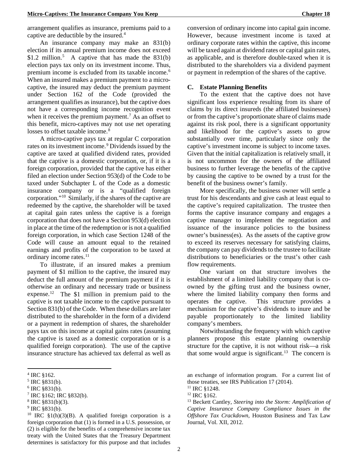arrangement qualifies as insurance, premiums paid to a captive are deductible by the insured.[4](#page-5-0)

An insurance company may make an 831(b) election if its annual premium income does not exceed \$1.2 million.<sup>[5](#page-5-1)</sup> A captive that has made the  $831(b)$ election pays tax only on its investment income. Thus, premium income is excluded from its taxable income. [6](#page-5-2) When an insured makes a premium payment to a microcaptive, the insured may deduct the premium payment under Section 162 of the Code (provided the arrangement qualifies as insurance), but the captive does not have a corresponding income recognition event when it receives the premium payment.<sup>[7](#page-5-3)</sup> As an offset to this benefit, micro-captives may not use net operating losses to offset taxable income.<sup>[8](#page-5-4)</sup>

A micro-captive pays tax at regular C corporation rates on its investment income. [9](#page-5-5) Dividends issued by the captive are taxed at qualified dividend rates, provided that the captive is a domestic corporation, or, if it is a foreign corporation, provided that the captive has either filed an election under Section 953(d) of the Code to be taxed under Subchapter L of the Code as a domestic insurance company or is a "qualified foreign corporation."[10](#page-5-6) Similarly, if the shares of the captive are redeemed by the captive, the shareholder will be taxed at capital gain rates unless the captive is a foreign corporation that does not have a Section 953(d) election in place at the time of the redemption or is not a qualified foreign corporation, in which case Section 1248 of the Code will cause an amount equal to the retained earnings and profits of the corporation to be taxed at ordinary income rates. [11](#page-5-2)

To illustrate, if an insured makes a premium payment of \$1 million to the captive, the insured may deduct the full amount of the premium payment if it is otherwise an ordinary and necessary trade or business expense[.12](#page-5-3) The \$1 million in premium paid to the captive is not taxable income to the captive pursuant to Section 831(b) of the Code. When these dollars are later distributed to the shareholder in the form of a dividend or a payment in redemption of shares, the shareholder pays tax on this income at capital gains rates (assuming the captive is taxed as a domestic corporation or is a qualified foreign corporation). The use of the captive insurance structure has achieved tax deferral as well as

**.** 

conversion of ordinary income into capital gain income. However, because investment income is taxed at ordinary corporate rates within the captive, this income will be taxed again at dividend rates or capital gain rates, as applicable, and is therefore double-taxed when it is distributed to the shareholders via a dividend payment or payment in redemption of the shares of the captive.

#### **C. Estate Planning Benefits**

To the extent that the captive does not have significant loss experience resulting from its share of claims by its direct insureds (the affiliated businesses) or from the captive's proportionate share of claims made against its risk pool, there is a significant opportunity and likelihood for the captive's assets to grow substantially over time, particularly since only the captive's investment income is subject to income taxes. Given that the initial capitalization is relatively small, it is not uncommon for the owners of the affiliated business to further leverage the benefits of the captive by causing the captive to be owned by a trust for the benefit of the business owner's family.

More specifically, the business owner will settle a trust for his descendants and give cash at least equal to the captive's required capitalization. The trustee then forms the captive insurance company and engages a captive manager to implement the negotiation and issuance of the insurance policies to the business owner's business(es). As the assets of the captive grow to exceed its reserves necessary for satisfying claims, the company can pay dividends to the trustee to facilitate distributions to beneficiaries or the trust's other cash flow requirements.

One variant on that structure involves the establishment of a limited liability company that is coowned by the gifting trust and the business owner, where the limited liability company then forms and operates the captive. This structure provides a mechanism for the captive's dividends to inure and be payable proportionately to the limited liability company's members.

Notwithstanding the frequency with which captive planners propose this estate planning ownership structure for the captive, it is not without risk—a risk that some would argue is significant.<sup>13</sup> The concern is

<span id="page-5-0"></span><sup>4</sup> IRC §162.

<span id="page-5-1"></span> $5$  IRC  $$831(b)$ .

<span id="page-5-2"></span> $6$  IRC  $$831(b)$ .

<span id="page-5-3"></span><sup>7</sup> IRC §162; IRC §832(b).

<span id="page-5-4"></span> $8$  IRC  $$831(b)(3)$ .

<span id="page-5-5"></span> $9$  IRC  $$831(b)$ .

<span id="page-5-6"></span><sup>&</sup>lt;sup>10</sup> IRC  $$1(h)(3)(B)$ . A qualified foreign corporation is a foreign corporation that (1) is formed in a U.S. possession, or (2) is eligible for the benefits of a comprehensive income tax treaty with the United States that the Treasury Department determines is satisfactory for this purpose and that includes

an exchange of information program. For a current list of those treaties, see IRS Publication 17 (2014).

<sup>11</sup> IRC §1248.

<sup>12</sup> IRC §162.

<sup>13</sup> Beckett Cantley, *Steering into the Storm: Amplification of Captive Insurance Company Compliance Issues in the Offshore Tax Crackdown*, Houston Business and Tax Law Journal, Vol. XII, 2012.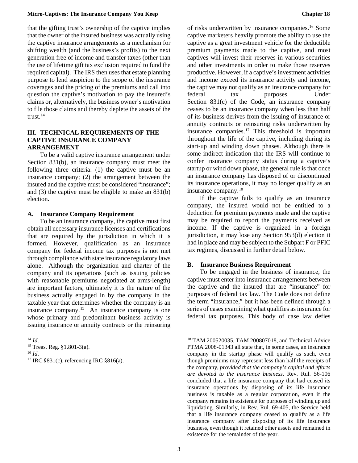that the gifting trust's ownership of the captive implies that the owner of the insured business was actually using the captive insurance arrangements as a mechanism for shifting wealth (and the business's profits) to the next generation free of income and transfer taxes (other than the use of lifetime gift tax exclusion required to fund the required capital). The IRS then uses that estate planning purpose to lend suspicion to the scope of the insurance coverages and the pricing of the premiums and call into question the captive's motivation to pay the insured's claims or, alternatively, the business owner's motivation to file those claims and thereby deplete the assets of the trust.[14](#page-6-0)

#### **III. TECHNICAL REQUIREMENTS OF THE CAPTIVE INSURANCE COMPANY ARRANGEMENT**

To be a valid captive insurance arrangement under Section 831(b), an insurance company must meet the following three criteria: (1) the captive must be an insurance company; (2) the arrangement between the insured and the captive must be considered "insurance"; and (3) the captive must be eligible to make an 831(b) election.

#### **A. Insurance Company Requirement**

To be an insurance company, the captive must first obtain all necessary insurance licenses and certifications that are required by the jurisdiction in which it is formed. However, qualification as an insurance company for federal income tax purposes is not met through compliance with state insurance regulatory laws alone. Although the organization and charter of the company and its operations (such as issuing policies with reasonable premiums negotiated at arms-length) are important factors, ultimately it is the nature of the business actually engaged in by the company in the taxable year that determines whether the company is an insurance company.<sup>[15](#page-6-1)</sup> An insurance company is one whose primary and predominant business activity is issuing insurance or annuity contracts or the reinsuring

 $\overline{a}$ 

<span id="page-6-2"></span><sup>16</sup> *Id*.

of risks underwritten by insurance companies.[16](#page-6-2) Some captive marketers heavily promote the ability to use the captive as a great investment vehicle for the deductible premium payments made to the captive, and most captives will invest their reserves in various securities and other investments in order to make those reserves productive. However, if a captive's investment activities and income exceed its insurance activity and income, the captive may not qualify as an insurance company for federal tax purposes. Under Section 831(c) of the Code, an insurance company ceases to be an insurance company when less than half of its business derives from the issuing of insurance or annuity contracts or reinsuring risks underwritten by insurance companies.[17](#page-6-3) This threshold is important throughout the life of the captive, including during its start-up and winding down phases. Although there is some indirect indication that the IRS will continue to confer insurance company status during a captive's startup or wind down phase, the general rule is that once an insurance company has disposed of or discontinued its insurance operations, it may no longer qualify as an insurance company.[18](#page-6-0)

If the captive fails to qualify as an insurance company, the insured would not be entitled to a deduction for premium payments made and the captive may be required to report the payments received as income. If the captive is organized in a foreign jurisdiction, it may lose any Section 953(d) election it had in place and may be subject to the Subpart F or PFIC tax regimes, discussed in further detail below.

#### **B. Insurance Business Requirement**

To be engaged in the business of insurance, the captive must enter into insurance arrangements between the captive and the insured that are "insurance" for purposes of federal tax law. The Code does not define the term "insurance," but it has been defined through a series of cases examining what qualifies as insurance for federal tax purposes. This body of case law defies

<sup>18</sup> TAM 200520035, TAM 200807018, and Technical Advice PTMA 2008-01343 all state that, in some cases, an insurance company in the startup phase will qualify as such, even though premiums may represent less than half the receipts of the company, *provided that the company's capital and efforts are devoted to the insurance business*. Rev. Rul. 56-106 concluded that a life insurance company that had ceased its insurance operations by disposing of its life insurance business is taxable as a regular corporation, even if the company remains in existence for purposes of winding up and liquidating. Similarly, in Rev. Rul. 69-405, the Service held that a life insurance company ceased to qualify as a life insurance company after disposing of its life insurance business, even though it retained other assets and remained in existence for the remainder of the year.

<span id="page-6-0"></span> $^{14}$  *Id.* 

<span id="page-6-1"></span><sup>15</sup> Treas. Reg. §1.801-3(a).

<span id="page-6-3"></span><sup>17</sup> IRC §831(c), referencing IRC §816(a).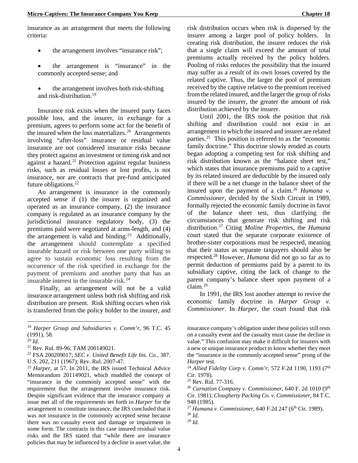insurance as an arrangement that meets the following criteria:

- the arrangement involves "insurance risk";
- the arrangement is "insurance" in the commonly accepted sense; and
- the arrangement involves both risk-shifting and risk-distribution.<sup>[19](#page-7-0)</sup>

Insurance risk exists when the insured party faces possible loss, and the insurer, in exchange for a premium, agrees to perform some act for the benefit of the insured when the loss materializes.<sup>20</sup> Arrangements involving "after-loss" insurance or residual value insurance are not considered insurance risks because they protect against an investment or timing risk and not against a hazard. $21$  Protection against regular business risks, such as residual losses or lost profits, is not insurance, nor are contracts that pre-fund anticipated future obligations. [22](#page-7-3)

An arrangement is insurance in the commonly accepted sense if (1) the insurer is organized and operated as an insurance company, (2) the insurance company is regulated as an insurance company by the jurisdictional insurance regulatory body, (3) the premiums paid were negotiated at arms-length, and (4) the arrangement is valid and binding.<sup>23</sup> Additionally, the arrangement should contemplate a specified insurable hazard or risk between one party willing to agree to sustain economic loss resulting from the occurrence of the risk specified in exchange for the payment of premiums and another party that has an insurable interest in the insurable risk. [24](#page-7-4)

Finally, an arrangement will not be a valid insurance arrangement unless both risk shifting and risk distribution are present. Risk shifting occurs when risk is transferred from the policy holder to the insurer, and

 $\overline{a}$ 

<span id="page-7-2"></span><sup>21</sup> Rev. Rul. 89-96; TAM 200149021.

<span id="page-7-9"></span><span id="page-7-8"></span><span id="page-7-7"></span><span id="page-7-6"></span><span id="page-7-5"></span><span id="page-7-4"></span><sup>23</sup> *Harper*, at 57. In 2011, the IRS issued Technical Advice Memorandum 201149021, which muddled the concept of "insurance in the commonly accepted sense" with the requirement that the arrangement involve insurance risk. Despite significant evidence that the insurance company at issue met all of the requirements set forth in *Harper* for the arrangement to constitute insurance, the IRS concluded that it was not insurance in the commonly accepted sense because there was no casualty event and damage or impairment in some form. The contracts in this case insured residual value risks and the IRS stated that "while there are insurance policies that may be influenced by a decline in asset value, the

risk distribution occurs when risk is dispersed by the insurer among a larger pool of policy holders. In creating risk distribution, the insurer reduces the risk that a single claim will exceed the amount of total premiums actually received by the policy holders. Pooling of risks reduces the possibility that the insured may suffer as a result of its own losses covered by the related captive. Thus, the larger the pool of premium received by the captive relative to the premium received from the related insured, and the larger the group of risks insured by the insurer, the greater the amount of risk distribution achieved by the insurer.

Until 2001, the IRS took the position that risk shifting and distribution could not exist in an arrangement in which the insured and insurer are related parties.[25](#page-7-5) This position is referred to as the "economic family doctrine." This doctrine slowly eroded as courts began adopting a competing test for risk shifting and risk distribution known as the "balance sheet test," which states that insurance premiums paid to a captive by its related insured are deductible by the insured only if there will be a net change in the balance sheet of the insured upon the payment of a claim.<sup>26</sup> *Humana v. Commissioner*, decided by the Sixth Circuit in 1989, formally rejected the economic family doctrine in favor of the balance sheet test, thus clarifying the circumstances that generate risk shifting and risk distribution. [27](#page-7-7) Citing *Moline Properties*, the *Humana* court stated that the separate corporate existence of brother-sister corporations must be respected, meaning that their status as separate taxpayers should also be respected.[28](#page-7-8) However, *Humana* did not go so far as to permit deduction of premiums paid by a parent to its subsidiary captive, citing the lack of change to the parent company's balance sheet upon payment of a  $claim.<sup>29</sup>$  $claim.<sup>29</sup>$  $claim.<sup>29</sup>$ 

In 1991, the IRS lost another attempt to revive the economic family doctrine in *Harper Group v. Commissioner*. In *Harper*, the court found that risk

 $^{29}$  *Id.* 

<span id="page-7-0"></span><sup>19</sup> *Harper Group and Subsidiaries v. Comm'r*, 96 T.C. 45  $(1991), 58.$ <sup>20</sup> *Id.* 

<span id="page-7-1"></span>

<span id="page-7-3"></span><sup>22</sup> FSA 200209017; *SEC v. United Benefit Life Ins. Co.*, 387. U.S. 202, 211 (1967); Rev. Rul. 2007-47.

insurance company's obligation under these policies still rests on a casualty event and the casualty must cause the decline in value." This confusion may make it difficult for insurers with a new or unique insurance product to know whether they meet the "insurance in the commonly accepted sense" prong of the *Harper* test.

<sup>&</sup>lt;sup>24</sup> Allied Fidelity Corp v. Comm'r, 572 F.2d 1190, 1193 (7<sup>th</sup> Cir. 1978).

 $25$  Rev. Rul. 77-316.

<sup>&</sup>lt;sup>26</sup> Carnation Company v. Commissioner, 640 F. 2d 1010 (9<sup>th</sup> Cir. 1981); *Clougherty Packing Co. v. Commissioner*, 84 T.C. 948 (1985).

<sup>&</sup>lt;sup>27</sup> *Humana v. Commissioner*, 640 F.2d 247 (6<sup>th</sup> Cir. 1989).<br><sup>28</sup> *Id.*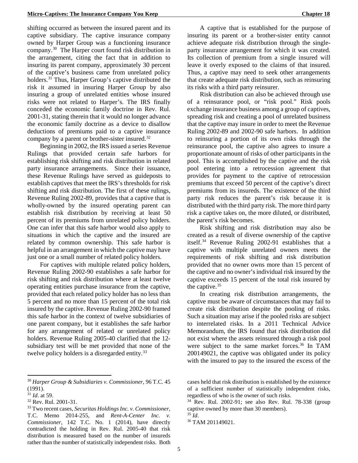shifting occurred as between the insured parent and its captive subsidiary. The captive insurance company owned by Harper Group was a functioning insurance company.[30](#page-8-0) The Harper court found risk distribution in the arrangement, citing the fact that in addition to insuring its parent company, approximately 30 percent of the captive's business came from unrelated policy holders. [31](#page-8-1) Thus, Harper Group's captive distributed the risk it assumed in insuring Harper Group by also insuring a group of unrelated entities whose insured risks were not related to Harper's. The IRS finally conceded the economic family doctrine in Rev. Rul. 2001-31, stating therein that it would no longer advance the economic family doctrine as a device to disallow deductions of premiums paid to a captive insurance company by a parent or brother-sister insured.<sup>[32](#page-8-2)</sup>

Beginning in 2002, the IRS issued a series Revenue Rulings that provided certain safe harbors for establishing risk shifting and risk distribution in related party insurance arrangements. Since their issuance, these Revenue Rulings have served as guideposts to establish captives that meet the IRS's thresholds for risk shifting and risk distribution. The first of these rulings, Revenue Ruling 2002-89, provides that a captive that is wholly-owned by the insured operating parent can establish risk distribution by receiving at least 50 percent of its premiums from unrelated policy holders. One can infer that this safe harbor would also apply to situations in which the captive and the insured are related by common ownership. This safe harbor is helpful in an arrangement in which the captive may have just one or a small number of related policy holders.

For captives with multiple related policy holders, Revenue Ruling 2002-90 establishes a safe harbor for risk shifting and risk distribution where at least twelve operating entities purchase insurance from the captive, provided that each related policy holder has no less than 5 percent and no more than 15 percent of the total risk insured by the captive. Revenue Ruling 2002-90 framed this safe harbor in the context of twelve subsidiaries of one parent company, but it establishes the safe harbor for any arrangement of related or unrelated policy holders. Revenue Ruling 2005-40 clarified that the 12 subsidiary test will be met provided that none of the twelve policy holders is a disregarded entity.<sup>[33](#page-8-3)</sup>

**.** 

A captive that is established for the purpose of insuring its parent or a brother-sister entity cannot achieve adequate risk distribution through the singleparty insurance arrangement for which it was created. Its collection of premium from a single insured will leave it overly exposed to the claims of that insured. Thus, a captive may need to seek other arrangements that create adequate risk distribution, such as reinsuring its risks with a third party reinsurer.

Risk distribution can also be achieved through use of a reinsurance pool, or "risk pool." Risk pools exchange insurance business among a group of captives, spreading risk and creating a pool of unrelated business that the captive may insure in order to meet the Revenue Ruling 2002-89 and 2002-90 safe harbors. In addition to reinsuring a portion of its own risks through the reinsurance pool, the captive also agrees to insure a proportionate amount of risks of other participants in the pool. This is accomplished by the captive and the risk pool entering into a retrocession agreement that provides for payment to the captive of retrocession premiums that exceed 50 percent of the captive's direct premiums from its insureds. The existence of the third party risk reduces the parent's risk because it is distributed with the third party risk. The more third party risk a captive takes on, the more diluted, or distributed, the parent's risk becomes.

Risk shifting and risk distribution may also be created as a result of diverse ownership of the captive itself. [34](#page-8-2) Revenue Ruling 2002-91 establishes that a captive with multiple unrelated owners meets the requirements of risk shifting and risk distribution provided that no owner owns more than 15 percent of the captive and no owner's individual risk insured by the captive exceeds 15 percent of the total risk insured by the captive.<sup>[35](#page-8-4)</sup>

In creating risk distribution arrangements, the captive must be aware of circumstances that may fail to create risk distribution despite the pooling of risks. Such a situation may arise if the pooled risks are subject to interrelated risks. In a 2011 Technical Advice Memorandum, the IRS found that risk distribution did not exist where the assets reinsured through a risk pool were subject to the same market forces. [36](#page-8-5) In TAM 200149021, the captive was obligated under its policy with the insured to pay to the insured the excess of the

<span id="page-8-0"></span><sup>30</sup> *Harper Group & Subsidiaries v. Commissioner*, 96 T.C. 45 (1991).

<span id="page-8-1"></span><sup>31</sup> *Id*. at 59.

<span id="page-8-2"></span><sup>32</sup> Rev. Rul. 2001-31.

<span id="page-8-5"></span><span id="page-8-4"></span><span id="page-8-3"></span><sup>33</sup> Two recent cases, *Securitas Holdings Inc. v. Commissioner*, T.C. Memo 2014-255, and *Rent-A-Center Inc. v. Commissioner*, 142 T.C. No. 1 (2014), have directly contradicted the holding in Rev. Rul. 2005-40 that risk distribution is measured based on the number of insureds rather than the number of statistically independent risks. Both

cases held that risk distribution is established by the existence of a sufficient number of statistically independent risks, regardless of who is the owner of such risks. 34 Rev. Rul. 2002-91; see also Rev. Rul. 78-338 (group

captive owned by more than 30 members).

<sup>&</sup>lt;sup>35</sup> *Id.* 201149021.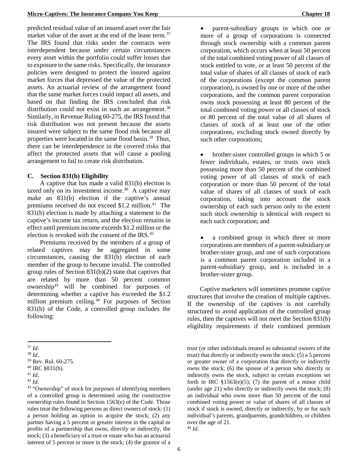predicted residual value of an insured asset over the fair market value of the asset at the end of the lease term.<sup>37</sup> The IRS found that risks under the contracts were interdependent because under certain circumstances every asset within the portfolio could suffer losses due to exposure to the same risks. Specifically, the insurance policies were designed to protect the insured against market forces that depressed the value of the protected assets. An actuarial review of the arrangement found that the same market forces could impact all assets, and based on that finding the IRS concluded that risk distribution could not exist in such an arrangement.<sup>[38](#page-9-1)</sup> Similarly, in Revenue Ruling 60-275, the IRS found that risk distribution was not present because the assets insured were subject to the same flood risk because all properties were located in the same flood basin.<sup>39</sup> Thus, there can be interdependence in the covered risks that affect the protected assets that will cause a pooling arrangement to fail to create risk distribution.

#### **C. Section 831(b) Eligibility**

A captive that has made a valid 831(b) election is taxed only on its investment income.[40](#page-9-3) A captive may make an 831(b) election if the captive's annual premiums received do not exceed \$1.2 million.<sup>[41](#page-9-4)</sup> The 831(b) election is made by attaching a statement to the captive's income tax return, and the election remains in effect until premium income exceeds \$1.2 million or the election is revoked with the consent of the IRS.<sup>[42](#page-9-5)</sup>

Premiums received by the members of a group of related captives may be aggregated in some circumstances, causing the 831(b) election of each member of the group to become invalid. The controlled group rules of Section  $831(b)(2)$  state that captives that are related by more than 50 percent common ownership $43$  will be combined for purposes of determining whether a captive has exceeded the \$1.2 million premium ceiling.<sup>[44](#page-9-7)</sup> For purposes of Section 831(b) of the Code, a controlled group includes the following:

 $\overline{a}$ 

• parent-subsidiary groups in which one or more of a group of corporations is connected through stock ownership with a common parent corporation, which occurs when at least 50 percent of the total combined voting power of all classes of stock entitled to vote, or at least 50 percent of the total value of shares of all classes of stock of each of the corporations (except the common parent corporation), is owned by one or more of the other corporations, and the common parent corporation owns stock possessing at least 80 percent of the total combined voting power or all classes of stock or 80 percent of the total value of all shares of classes of stock of at least one of the other corporations, excluding stock owned directly by such other corporations;

• brother-sister controlled groups in which 5 or fewer individuals, estates, or trusts own stock possessing more than 50 percent of the combined voting power of all classes of stock of each corporation or more than 50 percent of the total value of shares of all classes of stock of each corporation, taking into account the stock ownership of each such person only to the extent such stock ownership is identical with respect to each such corporation; and

a combined group in which three or more corporations are members of a parent-subsidiary or brother-sister group, and one of such corporations is a common parent corporation included in a parent-subsidiary group, and is included in a brother-sister group.

Captive marketers will sometimes promote captive structures that involve the creation of multiple captives. If the ownership of the captives is not carefully structured to avoid application of the controlled group rules, then the captives will not meet the Section 831(b) eligibility requirements if their combined premium

trust (or other individuals treated as substantial owners of the trust) that directly or indirectly owns the stock; (5) a 5 percent or greater owner of a corporation that directly or indirectly owns the stock; (6) the spouse of a person who directly or indirectly owns the stock, subject to certain exceptions set forth in IRC  $$1563(e)(5)$ ; (7) the parent of a minor child (under age 21) who directly or indirectly owns the stock; (8) an individual who owns more than 50 percent of the total combined voting power or value of shares of all classes of stock if stock is owned, directly or indirectly, by or for such individual's parents, grandparents, grandchildren, or children over the age of 21.

<sup>44</sup> *Id*.

<span id="page-9-0"></span><sup>37</sup> *Id*.

<span id="page-9-1"></span><sup>38</sup> *Id*.

<span id="page-9-2"></span><sup>39</sup> Rev. Rul. 60-275.

<span id="page-9-3"></span><sup>40</sup> IRC §831(b).

<span id="page-9-4"></span><sup>41</sup> *Id*.

<span id="page-9-5"></span><sup>42</sup> *Id*.

<span id="page-9-7"></span><span id="page-9-6"></span><sup>43</sup> "Ownership" of stock for purposes of identifying members of a controlled group is determined using the constructive ownership rules found in Section 1563(e) of the Code. Those rules treat the following persons as direct owners of stock: (1) a person holding an option to acquire the stock; (2) any partner having a 5 percent or greater interest in the capital or profits of a partnership that owns, directly or indirectly, the stock; (3) a beneficiary of a trust or estate who has an actuarial interest of 5 percent or more in the stock; (4) the grantor of a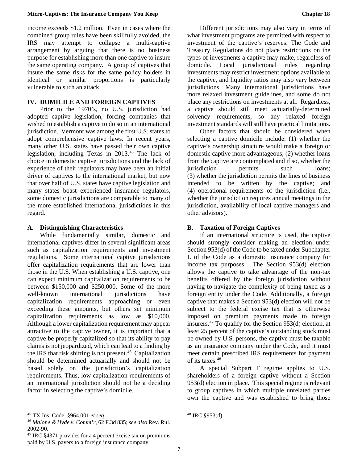income exceeds \$1.2 million. Even in cases where the combined group rules have been skillfully avoided, the IRS may attempt to collapse a multi-captive arrangement by arguing that there is no business purpose for establishing more than one captive to insure the same operating company. A group of captives that insure the same risks for the same policy holders in identical or similar proportions is particularly vulnerable to such an attack.

#### **IV. DOMICILE AND FOREIGN CAPTIVES**

Prior to the 1970's, no U.S. jurisdiction had adopted captive legislation, forcing companies that wished to establish a captive to do so in an international jurisdiction. Vermont was among the first U.S. states to adopt comprehensive captive laws. In recent years, many other U.S. states have passed their own captive legislation, including Texas in 2013.[45](#page-10-0) The lack of choice in domestic captive jurisdictions and the lack of experience of their regulators may have been an initial driver of captives to the international market, but now that over half of U.S. states have captive legislation and many states boast experienced insurance regulators, some domestic jurisdictions are comparable to many of the more established international jurisdictions in this regard.

#### **A. Distinguishing Characteristics**

While fundamentally similar, domestic and international captives differ in several significant areas such as capitalization requirements and investment regulations. Some international captive jurisdictions offer capitalization requirements that are lower than those in the U.S. When establishing a U.S. captive, one can expect minimum capitalization requirements to be between \$150,000 and \$250,000. Some of the more well-known international jurisdictions have capitalization requirements approaching or even exceeding these amounts, but others set minimum capitalization requirements as low as \$10,000. Although a lower capitalization requirement may appear attractive to the captive owner, it is important that a captive be properly capitalized so that its ability to pay claims is not jeopardized, which can lead to a finding by the IRS that risk shifting is not present. $46$  Capitalization should be determined actuarially and should not be based solely on the jurisdiction's capitalization requirements. Thus, low capitalization requirements of an international jurisdiction should not be a deciding factor in selecting the captive's domicile.

**.** 

Different jurisdictions may also vary in terms of what investment programs are permitted with respect to investment of the captive's reserves. The Code and Treasury Regulations do not place restrictions on the types of investments a captive may make, regardless of domicile. Local jurisdictional rules regarding investments may restrict investment options available to the captive, and liquidity ratios may also vary between jurisdictions. Many international jurisdictions have more relaxed investment guidelines, and some do not place any restrictions on investments at all. Regardless, a captive should still meet actuarially-determined solvency requirements, so any relaxed foreign investment standards will still have practical limitations.

Other factors that should be considered when selecting a captive domicile include: (1) whether the captive's ownership structure would make a foreign or domestic captive more advantageous; (2) whether loans from the captive are contemplated and if so, whether the iurisdiction permits such loans: (3) whether the jurisdiction permits the lines of business intended to be written by the captive; and (4) operational requirements of the jurisdiction (i.e., whether the jurisdiction requires annual meetings in the jurisdiction, availability of local captive managers and other advisors).

# **B. Taxation of Foreign Captives**

If an international structure is used, the captive should strongly consider making an election under Section 953(d) of the Code to be taxed under Subchapter L of the Code as a domestic insurance company for income tax purposes. The Section 953(d) election allows the captive to take advantage of the non-tax benefits offered by the foreign jurisdiction without having to navigate the complexity of being taxed as a foreign entity under the Code. Additionally, a foreign captive that makes a Section 953(d) election will not be subject to the federal excise tax that is otherwise imposed on premium payments made to foreign insurers[.47](#page-10-2) To qualify for the Section 953(d) election, at least 25 percent of the captive's outstanding stock must be owned by U.S. persons, the captive must be taxable as an insurance company under the Code, and it must meet certain prescribed IRS requirements for payment of its taxes.<sup>[48](#page-10-0)</sup>

A special Subpart F regime applies to U.S. shareholders of a foreign captive without a Section 953(d) election in place. This special regime is relevant to group captives in which multiple unrelated parties own the captive and was established to bring those

<span id="page-10-0"></span><sup>45</sup> TX Ins. Code. §964.001 *et seq*.

<span id="page-10-1"></span><sup>46</sup> *Malone & Hyde v. Comm'r*, 62 F.3d 835; *see also* Rev. Rul. 2002-90.

<span id="page-10-2"></span><sup>47</sup> IRC §4371 provides for a 4 percent excise tax on premiums paid by U.S. payers to a foreign insurance company.

<sup>48</sup> IRC §953(d).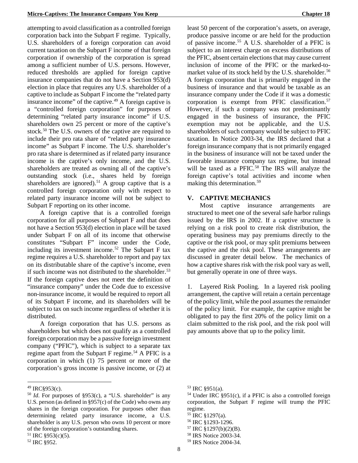attempting to avoid classification as a controlled foreign corporation back into the Subpart F regime. Typically, U.S. shareholders of a foreign corporation can avoid current taxation on the Subpart F income of that foreign corporation if ownership of the corporation is spread among a sufficient number of U.S. persons. However, reduced thresholds are applied for foreign captive insurance companies that do not have a Section 953(d) election in place that requires any U.S. shareholder of a captive to include as Subpart F income the "related party insurance income" of the captive.[49](#page-11-0) A foreign captive is a "controlled foreign corporation" for purposes of determining "related party insurance income" if U.S. shareholders own 25 percent or more of the captive's stock.<sup>[50](#page-11-1)</sup> The U.S. owners of the captive are required to include their pro rata share of "related party insurance income" as Subpart F income. The U.S. shareholder's pro rata share is determined as if related party insurance income is the captive's only income, and the U.S. shareholders are treated as owning all of the captive's outstanding stock (i.e., shares held by foreign shareholders are ignored).<sup>[51](#page-11-2)</sup> A group captive that is a controlled foreign corporation only with respect to related party insurance income will not be subject to Subpart F reporting on its other income.

A foreign captive that is a controlled foreign corporation for all purposes of Subpart F and that does not have a Section 953(d) election in place will be taxed under Subpart F on all of its income that otherwise constitutes "Subpart F" income under the Code, including its investment income.<sup>[52](#page-11-3)</sup> The Subpart F tax regime requires a U.S. shareholder to report and pay tax on its distributable share of the captive's income, even if such income was not distributed to the shareholder.<sup>[53](#page-11-0)</sup> If the foreign captive does not meet the definition of "insurance company" under the Code due to excessive non-insurance income, it would be required to report all of its Subpart F income, and its shareholders will be subject to tax on such income regardless of whether it is distributed.

A foreign corporation that has U.S. persons as shareholders but which does not qualify as a controlled foreign corporation may be a passive foreign investment company ("PFIC"), which is subject to a separate tax regime apart from the Subpart F regime.<sup>[54](#page-11-1)</sup> A PFIC is a corporation in which (1) 75 percent or more of the corporation's gross income is passive income, or (2) at

 $\overline{a}$ 

least 50 percent of the corporation's assets, on average, produce passive income or are held for the production of passive income.[55](#page-11-4) A U.S. shareholder of a PFIC is subject to an interest charge on excess distributions of the PFIC, absent certain elections that may cause current inclusion of income of the PFIC or the marked-to-market value of its stock held by the U.S. shareholder.<sup>[56](#page-11-5)</sup> A foreign corporation that is primarily engaged in the business of insurance and that would be taxable as an insurance company under the Code if it was a domestic corporation is exempt from PFIC classification. [57](#page-11-6) However, if such a company was not predominantly engaged in the business of insurance, the PFIC exemption may not be applicable, and the U.S. shareholders of such company would be subject to PFIC taxation. In Notice 2003-34, the IRS declared that a foreign insurance company that is not primarily engaged in the business of insurance will not be taxed under the favorable insurance company tax regime, but instead will be taxed as a PFIC. [58](#page-11-2) The IRS will analyze the foreign captive's total activities and income when making this determination.<sup>[59](#page-11-3)</sup>

# **V. CAPTIVE MECHANICS**

Most captive insurance arrangements are structured to meet one of the several safe harbor rulings issued by the IRS in 2002. If a captive structure is relying on a risk pool to create risk distribution, the operating business may pay premiums directly to the captive or the risk pool, or may split premiums between the captive and the risk pool. These arrangements are discussed in greater detail below. The mechanics of how a captive shares risk with the risk pool vary as well, but generally operate in one of three ways.

1. Layered Risk Pooling. In a layered risk pooling arrangement, the captive will retain a certain percentage of the policy limit, while the pool assumes the remainder of the policy limit. For example, the captive might be obligated to pay the first 20% of the policy limit on a claim submitted to the risk pool, and the risk pool will pay amounts above that up to the policy limit.

<span id="page-11-0"></span><sup>49</sup> IRC§953(c).

<span id="page-11-4"></span><span id="page-11-1"></span><sup>50</sup> *Id*. For purposes of §953(c), a "U.S. shareholder" is any U.S. person (as defined in §957(c) of the Code) who owns any shares in the foreign corporation. For purposes other than determining related party insurance income, a U.S. shareholder is any U.S. person who owns 10 percent or more of the foreign corporation's outstanding shares.

<span id="page-11-6"></span><span id="page-11-5"></span><span id="page-11-2"></span> $51$  IRC §953(c)(5).

<span id="page-11-3"></span><sup>52</sup> IRC §952.

<sup>53</sup> IRC §951(a).

<sup>54</sup> Under IRC §951(c), if a PFIC is also a controlled foreign corporation, the Subpart F regime will trump the PFIC regime.

<sup>&</sup>lt;sup>55</sup> IRC §1297(a).<br><sup>56</sup> IRC §1293-1296.

 $57$  IRC §1297(b)(2)(B).

<sup>58</sup> IRS Notice 2003-34.

<sup>59</sup> IRS Notice 2004-34.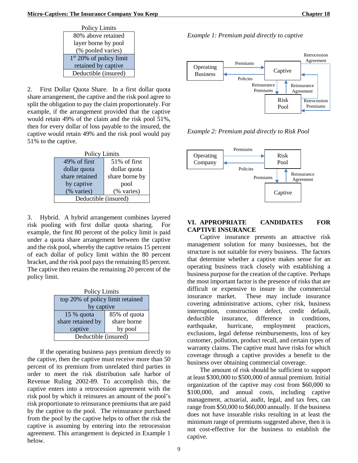| <b>Policy Limits</b>                |  |  |
|-------------------------------------|--|--|
| 80% above retained                  |  |  |
| layer borne by pool                 |  |  |
| (% pooled varies)                   |  |  |
| 1 <sup>st</sup> 20% of policy limit |  |  |
| retained by captive                 |  |  |
| Deductible (insured)                |  |  |

2. First Dollar Quota Share. In a first dollar quota share arrangement, the captive and the risk pool agree to split the obligation to pay the claim proportionately. For example, if the arrangement provided that the captive would retain 49% of the claim and the risk pool 51%, then for every dollar of loss payable to the insured, the captive would retain 49% and the risk pool would pay 51% to the captive.

| Policy Limits        |                |  |  |
|----------------------|----------------|--|--|
| 49% of first         | 51% of first   |  |  |
| dollar quota         | dollar quota   |  |  |
| share retained       | share borne by |  |  |
| by captive           | pool           |  |  |
| (% varies)           | (% varies)     |  |  |
| Deductible (insured) |                |  |  |

3. Hybrid. A hybrid arrangement combines layered risk pooling with first dollar quota sharing. For example, the first 80 percent of the policy limit is paid under a quota share arrangement between the captive and the risk pool, whereby the captive retains 15 percent of each dollar of policy limit within the 80 percent bracket, and the risk pool pays the remaining 85 percent. The captive then retains the remaining 20 percent of the policy limit.

| <b>Policy Limits</b>             |              |  |  |  |
|----------------------------------|--------------|--|--|--|
| top 20% of policy limit retained |              |  |  |  |
| by captive                       |              |  |  |  |
| 15 % quota                       | 85% of quota |  |  |  |
| share retained by                | share borne  |  |  |  |
| captive                          | by pool      |  |  |  |
| Deductible (insured)             |              |  |  |  |

If the operating business pays premium directly to the captive, then the captive must receive more than 50 percent of its premium from unrelated third parties in order to meet the risk distribution safe harbor of Revenue Ruling 2002-89. To accomplish this, the captive enters into a retrocession agreement with the risk pool by which it reinsures an amount of the pool's risk proportionate to reinsurance premiums that are paid by the captive to the pool. The reinsurance purchased from the pool by the captive helps to offset the risk the captive is assuming by entering into the retrocession agreement. This arrangement is depicted in Example 1 below.

*Example 1: Premium paid directly to captive* 



*Example 2: Premium paid directly to Risk Pool*



# **VI. APPROPRIATE CANDIDATES FOR CAPTIVE INSURANCE**

Captive insurance presents an attractive risk management solution for many businesses, but the structure is not suitable for every business. The factors that determine whether a captive makes sense for an operating business track closely with establishing a business purpose for the creation of the captive. Perhaps the most important factor is the presence of risks that are difficult or expensive to insure in the commercial insurance market. These may include insurance covering administrative actions, cyber risk, business interruption, construction defect, credit default, deductible insurance, difference in conditions, earthquake, hurricane, employment practices, exclusions, legal defense reimbursements, loss of key customer, pollution, product recall, and certain types of warranty claims. The captive must have risks for which coverage through a captive provides a benefit to the business over obtaining commercial coverage.

The amount of risk should be sufficient to support at least \$300,000 to \$500,000 of annual premium. Initial organization of the captive may cost from \$60,000 to \$100,000, and annual costs, including captive management, actuarial, audit, legal, and tax fees, can range from \$50,000 to \$60,000 annually. If the business does not have insurable risks resulting in at least the minimum range of premiums suggested above, then it is not cost-effective for the business to establish the captive.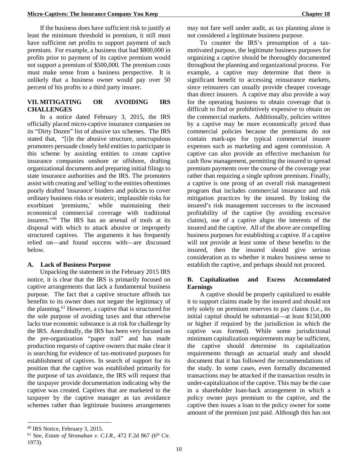If the business does have sufficient risk to justify at least the minimum threshold in premium, it still must have sufficient net profits to support payment of such premium. For example, a business that had \$800,000 in profits prior to payment of its captive premium would not support a premium of \$500,000. The premium costs must make sense from a business perspective. It is unlikely that a business owner would pay over 50 percent of his profits to a third party insurer.

# **VII. MITIGATING OR AVOIDING IRS CHALLENGES**

In a notice dated February 3, 2015, the IRS officially placed micro-captive insurance companies on its "Dirty Dozen" list of abusive tax schemes. The IRS stated that, "[i]n the abusive structure, unscrupulous promoters persuade closely held entities to participate in this scheme by assisting entities to create captive insurance companies onshore or offshore, drafting organizational documents and preparing initial filings to state insurance authorities and the IRS. The promoters assist with creating and 'selling' to the entities oftentimes poorly drafted 'insurance' binders and policies to cover ordinary business risks or esoteric, implausible risks for exorbitant 'premiums,' while maintaining their economical commercial coverage with traditional insurers."[60](#page-13-0) The IRS has an arsenal of tools at its disposal with which to attack abusive or improperly structured captives. The arguments it has frequently relied on—and found success with—are discussed below.

#### **A. Lack of Business Purpose**

Unpacking the statement in the February 2015 IRS notice, it is clear that the IRS is primarily focused on captive arrangements that lack a fundamental business purpose. The fact that a captive structure affords tax benefits to its owner does not negate the legitimacy of the planning.<sup>[61](#page-13-1)</sup> However, a captive that is structured for the sole purpose of avoiding taxes and that otherwise lacks true economic substance is at risk for challenge by the IRS. Anecdotally, the IRS has been very focused on the pre-organization "paper trail" and has made production requests of captive owners that make clear it is searching for evidence of tax-motivated purposes for establishment of captives. In search of support for its position that the captive was established primarily for the purpose of tax avoidance, the IRS will request that the taxpayer provide documentation indicating why the captive was created. Captives that are marketed to the taxpayer by the captive manager as tax avoidance schemes rather than legitimate business arrangements

may not fare well under audit, as tax planning alone is not considered a legitimate business purpose.

To counter the IRS's presumption of a taxmotivated purpose, the legitimate business purposes for organizing a captive should be thoroughly documented throughout the planning and organizational process. For example, a captive may determine that there is significant benefit to accessing reinsurance markets, since reinsurers can usually provide cheaper coverage than direct insurers. A captive may also provide a way for the operating business to obtain coverage that is difficult to find or prohibitively expensive to obtain on the commercial markets. Additionally, policies written by a captive may be more economically priced than commercial policies because the premiums do not contain mark-ups for typical commercial insurer expenses such as marketing and agent commission. A captive can also provide an effective mechanism for cash flow management, permitting the insured to spread premium payments over the course of the coverage year rather than requiring a single upfront premium. Finally, a captive is one prong of an overall risk management program that includes commercial insurance and risk mitigation practices by the insured. By linking the insured's risk management successes to the increased profitability of the captive (by avoiding excessive claims), use of a captive aligns the interests of the insured and the captive. All of the above are compelling business purposes for establishing a captive. If a captive will not provide at least some of these benefits to the insured, then the insured should give serious consideration as to whether it makes business sense to establish the captive, and perhaps should not proceed.

# **B. Capitalization and Excess Accumulated Earnings**

A captive should be properly capitalized to enable it to support claims made by the insured and should not rely solely on premium reserves to pay claims (i.e., its initial capital should be substantial—at least \$150,000 or higher if required by the jurisdiction in which the captive was formed). While some jurisdictional minimum capitalization requirements may be sufficient, the captive should determine its capitalization requirements through an actuarial study and should document that it has followed the recommendations of the study. In some cases, even formally documented transactions may be attacked if the transaction results in under-capitalization of the captive. This may be the case in a shareholder loan-back arrangement in which a policy owner pays premium to the captive, and the captive then issues a loan to the policy owner for some amount of the premium just paid. Although this has not

 $\overline{a}$ 

<span id="page-13-0"></span><sup>60</sup> IRS Notice, February 3, 2015.

<span id="page-13-1"></span><sup>&</sup>lt;sup>61</sup> See, *Estate of Stranahan v. C.I.R.*, 472 F.2d 867 (6<sup>th</sup> Cir. 1973).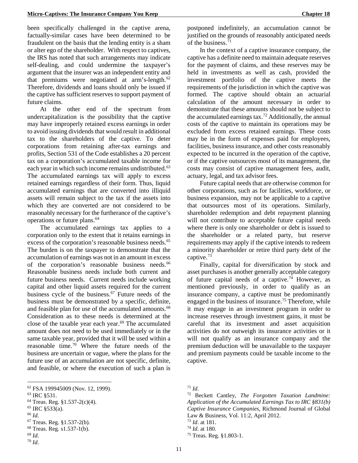been specifically challenged in the captive arena, factually-similar cases have been determined to be fraudulent on the basis that the lending entity is a sham or alter ego of the shareholder. With respect to captives, the IRS has noted that such arrangements may indicate self-dealing, and could undermine the taxpayer's argument that the insurer was an independent entity and that premiums were negotiated at arm's-length. $62$ Therefore, dividends and loans should only be issued if the captive has sufficient reserves to support payment of future claims.

At the other end of the spectrum from undercapitalization is the possibility that the captive may have improperly retained excess earnings in order to avoid issuing dividends that would result in additional tax to the shareholders of the captive. To deter corporations from retaining after-tax earnings and profits, Section 531 of the Code establishes a 20 percent tax on a corporation's accumulated taxable income for each year in which such income remains undistributed.<sup>[63](#page-14-1)</sup> The accumulated earnings tax will apply to excess retained earnings regardless of their form. Thus, liquid accumulated earnings that are converted into illiquid assets will remain subject to the tax if the assets into which they are converted are not considered to be reasonably necessary for the furtherance of the captive's operations or future plans.[64](#page-14-2)

The accumulated earnings tax applies to a corporation only to the extent that it retains earnings in excess of the corporation's reasonable business needs.<sup>[65](#page-14-3)</sup> The burden is on the taxpayer to demonstrate that the accumulation of earnings was not in an amount in excess of the corporation's reasonable business needs.<sup>[66](#page-14-4)</sup> Reasonable business needs include both current and future business needs. Current needs include working capital and other liquid assets required for the current business cycle of the business. $67$  Future needs of the business must be demonstrated by a specific, definite, and feasible plan for use of the accumulated amounts.<sup>[68](#page-14-6)</sup> Consideration as to these needs is determined at the close of the taxable year each year.<sup>[69](#page-14-7)</sup> The accumulated amount does not need to be used immediately or in the same taxable year, provided that it will be used within a reasonable time.[70](#page-14-8) Where the future needs of the business are uncertain or vague, where the plans for the future use of an accumulation are not specific, definite, and feasible, or where the execution of such a plan is

<span id="page-14-4"></span><sup>66</sup> *Id*.

 $\overline{a}$ 

<span id="page-14-8"></span><sup>70</sup> *Id*.

postponed indefinitely, an accumulation cannot be justified on the grounds of reasonably anticipated needs of the business.[71](#page-14-0)

In the context of a captive insurance company, the captive has a definite need to maintain adequate reserves for the payment of claims, and these reserves may be held in investments as well as cash, provided the investment portfolio of the captive meets the requirements of the jurisdiction in which the captive was formed. The captive should obtain an actuarial calculation of the amount necessary in order to demonstrate that these amounts should not be subject to the accumulated earnings tax.<sup>[72](#page-14-1)</sup> Additionally, the annual costs of the captive to maintain its operations may be excluded from excess retained earnings. These costs may be in the form of expenses paid for employees, facilities, business insurance, and other costs reasonably expected to be incurred in the operation of the captive, or if the captive outsources most of its management, the costs may consist of captive management fees, audit, actuary, legal, and tax advisor fees.

Future capital needs that are otherwise common for other corporations, such as for facilities, workforce, or business expansion, may not be applicable to a captive that outsources most of its operations. Similarly, shareholder redemption and debt repayment planning will not contribute to acceptable future capital needs where there is only one shareholder or debt is issued to the shareholder or a related party, but reserve requirements may apply if the captive intends to redeem a minority shareholder or retire third party debt of the captive.[73](#page-14-5)

Finally, capital for diversification by stock and asset purchases is another generally acceptable category of future capital needs of a captive. [74](#page-14-6) However, as mentioned previously, in order to qualify as an insurance company, a captive must be predominantly engaged in the business of insurance.<sup>[75](#page-14-7)</sup> Therefore, while it may engage in an investment program in order to increase reserves through investment gains, it must be careful that its investment and asset acquisition activities do not outweigh its insurance activities or it will not qualify as an insurance company and the premium deduction will be unavailable to the taxpayer and premium payments could be taxable income to the captive.

<span id="page-14-0"></span><sup>62</sup> FSA 199945009 (Nov. 12, 1999).

<span id="page-14-1"></span><sup>63</sup> IRC §531.

<span id="page-14-2"></span> $64$  Treas. Reg. §1.537-2(c)(4).

<span id="page-14-3"></span><sup>65</sup> IRC §533(a).

<span id="page-14-5"></span><sup>67</sup> Treas. Reg. §1.537-2(b).

<span id="page-14-6"></span><sup>68</sup> Treas. Reg. s1.537-1(b).

<span id="page-14-7"></span><sup>69</sup> *Id*.

<sup>71</sup> *Id*.

<sup>72</sup> Beckett Cantley, *The Forgotten Taxation Landmine: Application of the Accumulated Earnings Tax to IRC §831(b) Captive Insurance Companies*, Richmond Journal of Global Law & Business, Vol. 11:2, April 2012. <sup>73</sup> *Id*. at 181.

<sup>74</sup> *Id*. at 180.

<sup>75</sup> Treas. Reg. §1.803-1.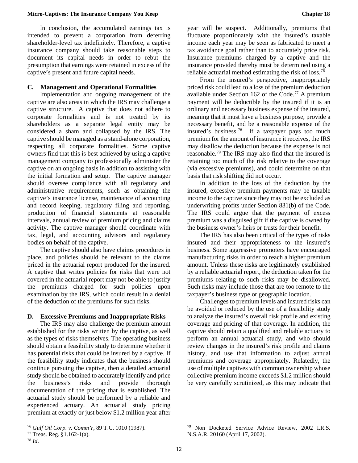In conclusion, the accumulated earnings tax is intended to prevent a corporation from deferring shareholder-level tax indefinitely. Therefore, a captive insurance company should take reasonable steps to document its capital needs in order to rebut the presumption that earnings were retained in excess of the captive's present and future capital needs.

## **C. Management and Operational Formalities**

Implementation and ongoing management of the captive are also areas in which the IRS may challenge a captive structure. A captive that does not adhere to corporate formalities and is not treated by its shareholders as a separate legal entity may be considered a sham and collapsed by the IRS. The captive should be managed as a stand-alone corporation, respecting all corporate formalities. Some captive owners find that this is best achieved by using a captive management company to professionally administer the captive on an ongoing basis in addition to assisting with the initial formation and setup. The captive manager should oversee compliance with all regulatory and administrative requirements, such as obtaining the captive's insurance license, maintenance of accounting and record keeping, regulatory filing and reporting, production of financial statements at reasonable intervals, annual review of premium pricing and claims activity. The captive manager should coordinate with tax, legal, and accounting advisors and regulatory bodies on behalf of the captive.

The captive should also have claims procedures in place, and policies should be relevant to the claims priced in the actuarial report produced for the insured. A captive that writes policies for risks that were not covered in the actuarial report may not be able to justify the premiums charged for such policies upon examination by the IRS, which could result in a denial of the deduction of the premiums for such risks.

# **D. Excessive Premiums and Inappropriate Risks**

The IRS may also challenge the premium amount established for the risks written by the captive, as well as the types of risks themselves. The operating business should obtain a feasibility study to determine whether it has potential risks that could be insured by a captive. If the feasibility study indicates that the business should continue pursuing the captive, then a detailed actuarial study should be obtained to accurately identify and price the business's risks and provide thorough documentation of the pricing that is established. The actuarial study should be performed by a reliable and experienced actuary. An actuarial study pricing premium at exactly or just below \$1.2 million year after

 $\overline{a}$ 

year will be suspect. Additionally, premiums that fluctuate proportionately with the insured's taxable income each year may be seen as fabricated to meet a tax avoidance goal rather than to accurately price risk. Insurance premiums charged by a captive and the insurance provided thereby must be determined using a reliable actuarial method estimating the risk of loss.[76](#page-15-0)

From the insured's perspective, inappropriately priced risk could lead to a loss of the premium deduction available under Section 162 of the Code.<sup>[77](#page-15-1)</sup> A premium payment will be deductible by the insured if it is an ordinary and necessary business expense of the insured, meaning that it must have a business purpose, provide a necessary benefit, and be a reasonable expense of the insured's business. [78](#page-15-2) If a taxpayer pays too much premium for the amount of insurance it receives, the IRS may disallow the deduction because the expense is not reasonable.[79](#page-15-0) The IRS may also find that the insured is retaining too much of the risk relative to the coverage (via excessive premiums), and could determine on that basis that risk shifting did not occur.

In addition to the loss of the deduction by the insured, excessive premium payments may be taxable income to the captive since they may not be excluded as underwriting profits under Section 831(b) of the Code. The IRS could argue that the payment of excess premium was a disguised gift if the captive is owned by the business owner's heirs or trusts for their benefit.

The IRS has also been critical of the types of risks insured and their appropriateness to the insured's business. Some aggressive promoters have encouraged manufacturing risks in order to reach a higher premium amount. Unless these risks are legitimately established by a reliable actuarial report, the deduction taken for the premiums relating to such risks may be disallowed. Such risks may include those that are too remote to the taxpayer's business type or geographic location.

Challenges to premium levels and insured risks can be avoided or reduced by the use of a feasibility study to analyze the insured's overall risk profile and existing coverage and pricing of that coverage. In addition, the captive should retain a qualified and reliable actuary to perform an annual actuarial study, and who should review changes in the insured's risk profile and claims history, and use that information to adjust annual premiums and coverage appropriately. Relatedly, the use of multiple captives with common ownership whose collective premium income exceeds \$1.2 million should be very carefully scrutinized, as this may indicate that

<span id="page-15-0"></span><sup>76</sup> *Gulf Oil Corp. v. Comm'r*, 89 T.C. 1010 (1987).

<span id="page-15-2"></span><span id="page-15-1"></span><sup>77</sup> Treas. Reg. §1.162-1(a). 78 *Id*.

<sup>79</sup> Non Docketed Service Advice Review, 2002 I.R.S. N.S.A.R. 20160 (April 17, 2002).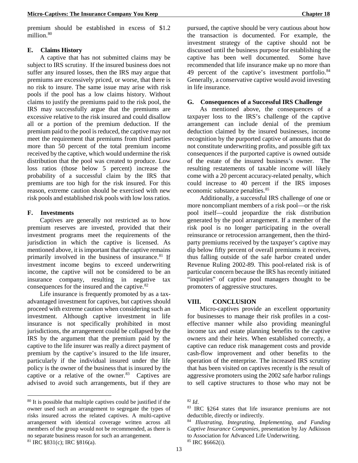premium should be established in excess of \$1.2 million.<sup>[80](#page-16-0)</sup>

#### **E. Claims History**

A captive that has not submitted claims may be subject to IRS scrutiny. If the insured business does not suffer any insured losses, then the IRS may argue that premiums are excessively priced, or worse, that there is no risk to insure. The same issue may arise with risk pools if the pool has a low claims history. Without claims to justify the premiums paid to the risk pool, the IRS may successfully argue that the premiums are excessive relative to the risk insured and could disallow all or a portion of the premium deduction. If the premium paid to the pool is reduced, the captive may not meet the requirement that premiums from third parties more than 50 percent of the total premium income received by the captive, which would undermine the risk distribution that the pool was created to produce. Low loss ratios (those below 5 percent) increase the probability of a successful claim by the IRS that premiums are too high for the risk insured. For this reason, extreme caution should be exercised with new risk pools and established risk pools with low loss ratios.

#### **F. Investments**

**.** 

Captives are generally not restricted as to how premium reserves are invested, provided that their investment programs meet the requirements of the jurisdiction in which the captive is licensed. As mentioned above, it is important that the captive remains primarily involved in the business of insurance.<sup>[81](#page-16-1)</sup> If investment income begins to exceed underwriting income, the captive will not be considered to be an insurance company, resulting in negative tax consequences for the insured and the captive.<sup>[82](#page-16-0)</sup>

Life insurance is frequently promoted by as a taxadvantaged investment for captives, but captives should proceed with extreme caution when considering such an investment. Although captive investment in life insurance is not specifically prohibited in most jurisdictions, the arrangement could be collapsed by the IRS by the argument that the premium paid by the captive to the life insurer was really a direct payment of premium by the captive's insured to the life insurer, particularly if the individual insured under the life policy is the owner of the business that is insured by the captive or a relative of the owner. $83$  Captives are advised to avoid such arrangements, but if they are

<span id="page-16-3"></span><span id="page-16-2"></span><span id="page-16-1"></span><span id="page-16-0"></span><sup>80</sup> It is possible that multiple captives could be justified if the owner used such an arrangement to segregate the types of risks insured across the related captives. A multi-captive arrangement with identical coverage written across all members of the group would not be recommended, as there is no separate business reason for such an arrangement. <sup>81</sup> IRC §831(c); IRC §816(a).

pursued, the captive should be very cautious about how the transaction is documented. For example, the investment strategy of the captive should not be discussed until the business purpose for establishing the captive has been well documented. Some have recommended that life insurance make up no more than 49 percent of the captive's investment portfolio.<sup>[84](#page-16-3)</sup> Generally, a conservative captive would avoid investing in life insurance.

#### **G. Consequences of a Successful IRS Challenge**

As mentioned above, the consequences of a taxpayer loss to the IRS's challenge of the captive arrangement can include denial of the premium deduction claimed by the insured businesses, income recognition by the purported captive of amounts that do not constitute underwriting profits, and possible gift tax consequences if the purported captive is owned outside of the estate of the insured business's owner. The resulting restatements of taxable income will likely come with a 20 percent accuracy-related penalty, which could increase to 40 percent if the IRS imposes economic substance penalties.<sup>[85](#page-16-1)</sup>

Additionally, a successful IRS challenge of one or more noncompliant members of a risk pool—or the risk pool itself—could jeopardize the risk distribution generated by the pool arrangement. If a member of the risk pool is no longer participating in the overall reinsurance or retrocession arrangement, then the thirdparty premiums received by the taxpayer's captive may dip below fifty percent of overall premiums it receives, thus falling outside of the safe harbor created under Revenue Ruling 2002-89. This pool-related risk is of particular concern because the IRS has recently initiated "inquiries" of captive pool managers thought to be promoters of aggressive structures.

#### **VIII. CONCLUSION**

Micro-captives provide an excellent opportunity for businesses to manage their risk profiles in a costeffective manner while also providing meaningful income tax and estate planning benefits to the captive owners and their heirs. When established correctly, a captive can reduce risk management costs and provide cash-flow improvement and other benefits to the operation of the enterprise. The increased IRS scrutiny that has been visited on captives recently is the result of aggressive promoters using the 2002 safe harbor rulings to sell captive structures to those who may not be

<sup>82</sup> *Id*.

<sup>83</sup> IRC §264 states that life insurance premiums are not deductible, directly or indirectly.

<sup>84</sup> *Illustrating, Integrating, Implementing, and Funding Captive Insurance Companies*, presentation by Jay Adkisson to Association for Advanced Life Underwriting.

 $85$  IRC  $§6662(i)$ .